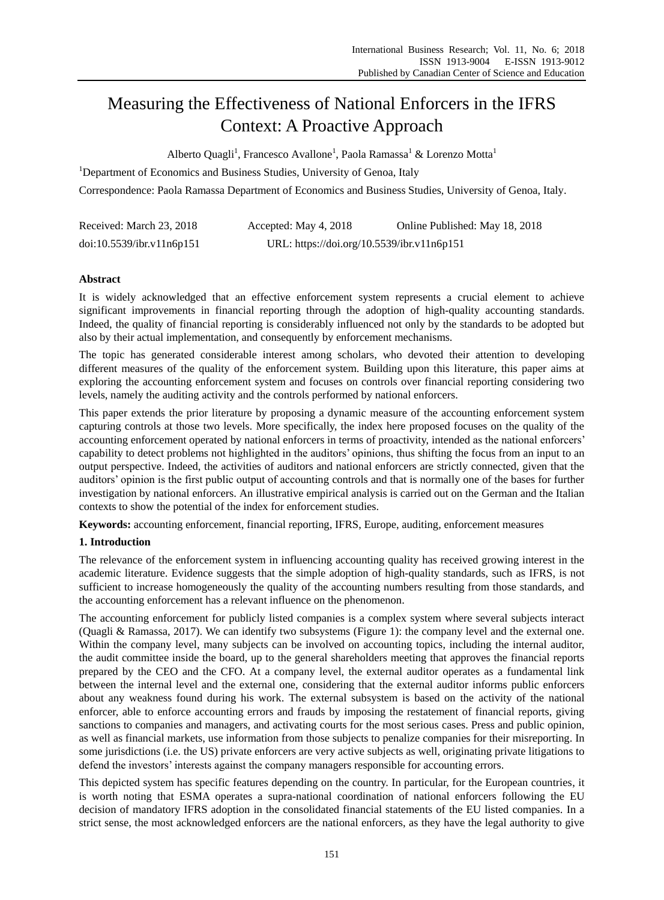# Measuring the Effectiveness of National Enforcers in the IFRS Context: A Proactive Approach

Alberto Quagli<sup>1</sup>, Francesco Avallone<sup>1</sup>, Paola Ramassa<sup>1</sup> & Lorenzo Motta<sup>1</sup>

<sup>1</sup>Department of Economics and Business Studies, University of Genoa, Italy

Correspondence: Paola Ramassa Department of Economics and Business Studies, University of Genoa, Italy.

| Received: March 23, 2018  | Accepted: May 4, 2018                      | Online Published: May 18, 2018 |
|---------------------------|--------------------------------------------|--------------------------------|
| doi:10.5539/ibr.v11n6p151 | URL: https://doi.org/10.5539/ibr.v11n6p151 |                                |

# **Abstract**

It is widely acknowledged that an effective enforcement system represents a crucial element to achieve significant improvements in financial reporting through the adoption of high-quality accounting standards. Indeed, the quality of financial reporting is considerably influenced not only by the standards to be adopted but also by their actual implementation, and consequently by enforcement mechanisms.

The topic has generated considerable interest among scholars, who devoted their attention to developing different measures of the quality of the enforcement system. Building upon this literature, this paper aims at exploring the accounting enforcement system and focuses on controls over financial reporting considering two levels, namely the auditing activity and the controls performed by national enforcers.

This paper extends the prior literature by proposing a dynamic measure of the accounting enforcement system capturing controls at those two levels. More specifically, the index here proposed focuses on the quality of the accounting enforcement operated by national enforcers in terms of proactivity, intended as the national enforcers' capability to detect problems not highlighted in the auditors' opinions, thus shifting the focus from an input to an output perspective. Indeed, the activities of auditors and national enforcers are strictly connected, given that the auditors' opinion is the first public output of accounting controls and that is normally one of the bases for further investigation by national enforcers. An illustrative empirical analysis is carried out on the German and the Italian contexts to show the potential of the index for enforcement studies.

**Keywords:** accounting enforcement, financial reporting, IFRS, Europe, auditing, enforcement measures

# **1. Introduction**

The relevance of the enforcement system in influencing accounting quality has received growing interest in the academic literature. Evidence suggests that the simple adoption of high-quality standards, such as IFRS, is not sufficient to increase homogeneously the quality of the accounting numbers resulting from those standards, and the accounting enforcement has a relevant influence on the phenomenon.

The accounting enforcement for publicly listed companies is a complex system where several subjects interact (Quagli & Ramassa, 2017). We can identify two subsystems (Figure 1): the company level and the external one. Within the company level, many subjects can be involved on accounting topics, including the internal auditor, the audit committee inside the board, up to the general shareholders meeting that approves the financial reports prepared by the CEO and the CFO. At a company level, the external auditor operates as a fundamental link between the internal level and the external one, considering that the external auditor informs public enforcers about any weakness found during his work. The external subsystem is based on the activity of the national enforcer, able to enforce accounting errors and frauds by imposing the restatement of financial reports, giving sanctions to companies and managers, and activating courts for the most serious cases. Press and public opinion, as well as financial markets, use information from those subjects to penalize companies for their misreporting. In some jurisdictions (i.e. the US) private enforcers are very active subjects as well, originating private litigations to defend the investors' interests against the company managers responsible for accounting errors.

This depicted system has specific features depending on the country. In particular, for the European countries, it is worth noting that ESMA operates a supra-national coordination of national enforcers following the EU decision of mandatory IFRS adoption in the consolidated financial statements of the EU listed companies. In a strict sense, the most acknowledged enforcers are the national enforcers, as they have the legal authority to give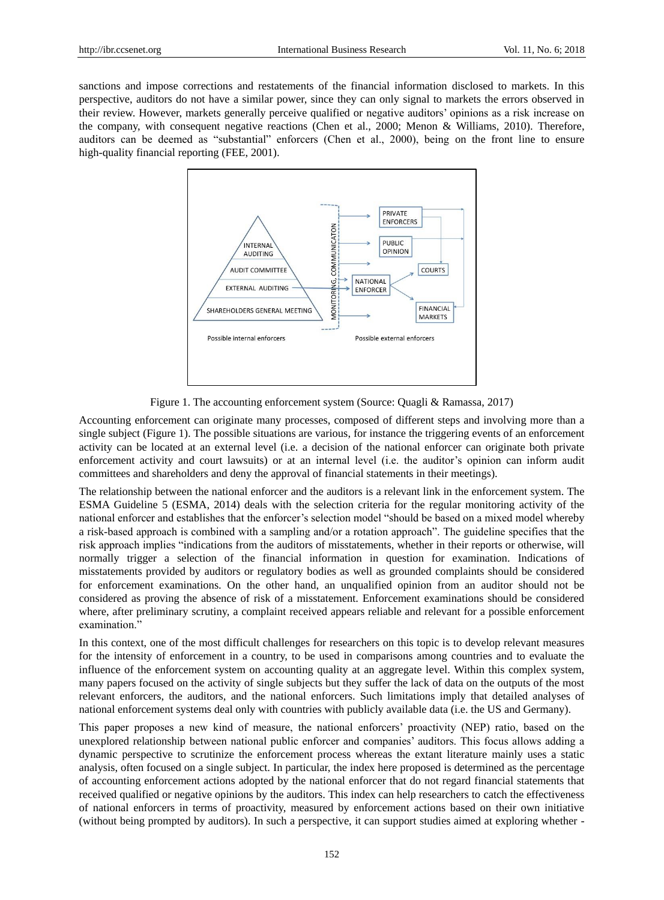sanctions and impose corrections and restatements of the financial information disclosed to markets. In this perspective, auditors do not have a similar power, since they can only signal to markets the errors observed in their review. However, markets generally perceive qualified or negative auditors' opinions as a risk increase on the company, with consequent negative reactions (Chen et al., 2000; Menon & Williams, 2010). Therefore, auditors can be deemed as "substantial" enforcers (Chen et al., 2000), being on the front line to ensure high-quality financial reporting (FEE, 2001).



Figure 1. The accounting enforcement system (Source: Quagli & Ramassa, 2017)

Accounting enforcement can originate many processes, composed of different steps and involving more than a single subject (Figure 1). The possible situations are various, for instance the triggering events of an enforcement activity can be located at an external level (i.e. a decision of the national enforcer can originate both private enforcement activity and court lawsuits) or at an internal level (i.e. the auditor's opinion can inform audit committees and shareholders and deny the approval of financial statements in their meetings).

The relationship between the national enforcer and the auditors is a relevant link in the enforcement system. The ESMA Guideline 5 (ESMA, 2014) deals with the selection criteria for the regular monitoring activity of the national enforcer and establishes that the enforcer's selection model "should be based on a mixed model whereby a risk-based approach is combined with a sampling and/or a rotation approach". The guideline specifies that the risk approach implies "indications from the auditors of misstatements, whether in their reports or otherwise, will normally trigger a selection of the financial information in question for examination. Indications of misstatements provided by auditors or regulatory bodies as well as grounded complaints should be considered for enforcement examinations. On the other hand, an unqualified opinion from an auditor should not be considered as proving the absence of risk of a misstatement. Enforcement examinations should be considered where, after preliminary scrutiny, a complaint received appears reliable and relevant for a possible enforcement examination."

In this context, one of the most difficult challenges for researchers on this topic is to develop relevant measures for the intensity of enforcement in a country, to be used in comparisons among countries and to evaluate the influence of the enforcement system on accounting quality at an aggregate level. Within this complex system, many papers focused on the activity of single subjects but they suffer the lack of data on the outputs of the most relevant enforcers, the auditors, and the national enforcers. Such limitations imply that detailed analyses of national enforcement systems deal only with countries with publicly available data (i.e. the US and Germany).

This paper proposes a new kind of measure, the national enforcers' proactivity (NEP) ratio, based on the unexplored relationship between national public enforcer and companies' auditors. This focus allows adding a dynamic perspective to scrutinize the enforcement process whereas the extant literature mainly uses a static analysis, often focused on a single subject. In particular, the index here proposed is determined as the percentage of accounting enforcement actions adopted by the national enforcer that do not regard financial statements that received qualified or negative opinions by the auditors. This index can help researchers to catch the effectiveness of national enforcers in terms of proactivity, measured by enforcement actions based on their own initiative (without being prompted by auditors). In such a perspective, it can support studies aimed at exploring whether -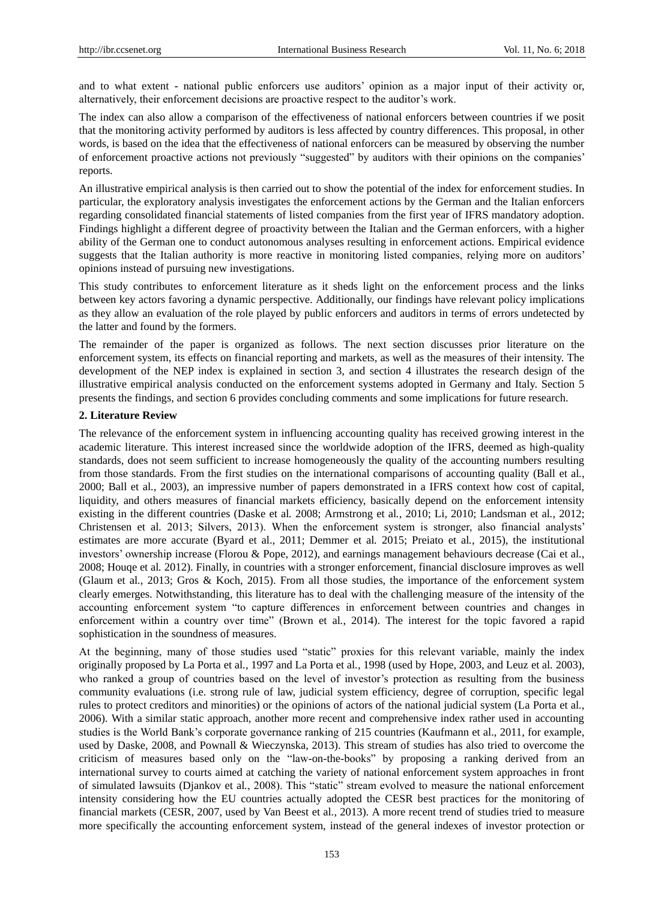and to what extent - national public enforcers use auditors' opinion as a major input of their activity or, alternatively, their enforcement decisions are proactive respect to the auditor's work.

The index can also allow a comparison of the effectiveness of national enforcers between countries if we posit that the monitoring activity performed by auditors is less affected by country differences. This proposal, in other words, is based on the idea that the effectiveness of national enforcers can be measured by observing the number of enforcement proactive actions not previously "suggested" by auditors with their opinions on the companies' reports.

An illustrative empirical analysis is then carried out to show the potential of the index for enforcement studies. In particular, the exploratory analysis investigates the enforcement actions by the German and the Italian enforcers regarding consolidated financial statements of listed companies from the first year of IFRS mandatory adoption. Findings highlight a different degree of proactivity between the Italian and the German enforcers, with a higher ability of the German one to conduct autonomous analyses resulting in enforcement actions. Empirical evidence suggests that the Italian authority is more reactive in monitoring listed companies, relying more on auditors' opinions instead of pursuing new investigations.

This study contributes to enforcement literature as it sheds light on the enforcement process and the links between key actors favoring a dynamic perspective. Additionally, our findings have relevant policy implications as they allow an evaluation of the role played by public enforcers and auditors in terms of errors undetected by the latter and found by the formers.

The remainder of the paper is organized as follows. The next section discusses prior literature on the enforcement system, its effects on financial reporting and markets, as well as the measures of their intensity. The development of the NEP index is explained in section 3, and section 4 illustrates the research design of the illustrative empirical analysis conducted on the enforcement systems adopted in Germany and Italy. Section 5 presents the findings, and section 6 provides concluding comments and some implications for future research.

## **2. Literature Review**

The relevance of the enforcement system in influencing accounting quality has received growing interest in the academic literature. This interest increased since the worldwide adoption of the IFRS, deemed as high-quality standards, does not seem sufficient to increase homogeneously the quality of the accounting numbers resulting from those standards. From the first studies on the international comparisons of accounting quality (Ball et al*.*, 2000; Ball et al*.*, 2003), an impressive number of papers demonstrated in a IFRS context how cost of capital, liquidity, and others measures of financial markets efficiency, basically depend on the enforcement intensity existing in the different countries (Daske et al*.* 2008; Armstrong et al*.*, 2010; Li, 2010; Landsman et al*.*, 2012; Christensen et al*.* 2013; Silvers, 2013). When the enforcement system is stronger, also financial analysts' estimates are more accurate (Byard et al., 2011; Demmer et al*.* 2015; Preiato et al*.*, 2015), the institutional investors' ownership increase (Florou & Pope, 2012), and earnings management behaviours decrease (Cai et al*.*, 2008; Houqe et al*.* 2012). Finally, in countries with a stronger enforcement, financial disclosure improves as well (Glaum et al*.*, 2013; Gros & Koch, 2015). From all those studies, the importance of the enforcement system clearly emerges. Notwithstanding, this literature has to deal with the challenging measure of the intensity of the accounting enforcement system "to capture differences in enforcement between countries and changes in enforcement within a country over time" (Brown et al*.*, 2014). The interest for the topic favored a rapid sophistication in the soundness of measures.

At the beginning, many of those studies used "static" proxies for this relevant variable, mainly the index originally proposed by La Porta et al*.*, 1997 and La Porta et al*.*, 1998 (used by Hope, 2003, and Leuz et al*.* 2003), who ranked a group of countries based on the level of investor's protection as resulting from the business community evaluations (i.e. strong rule of law, judicial system efficiency, degree of corruption, specific legal rules to protect creditors and minorities) or the opinions of actors of the national judicial system (La Porta et al*.*, 2006). With a similar static approach, another more recent and comprehensive index rather used in accounting studies is the World Bank's corporate governance ranking of 215 countries (Kaufmann et al., 2011, for example, used by Daske, 2008, and Pownall & Wieczynska, 2013). This stream of studies has also tried to overcome the criticism of measures based only on the "law-on-the-books" by proposing a ranking derived from an international survey to courts aimed at catching the variety of national enforcement system approaches in front of simulated lawsuits (Djankov et al*.*, 2008). This "static" stream evolved to measure the national enforcement intensity considering how the EU countries actually adopted the CESR best practices for the monitoring of financial markets (CESR, 2007, used by Van Beest et al*.*, 2013). A more recent trend of studies tried to measure more specifically the accounting enforcement system, instead of the general indexes of investor protection or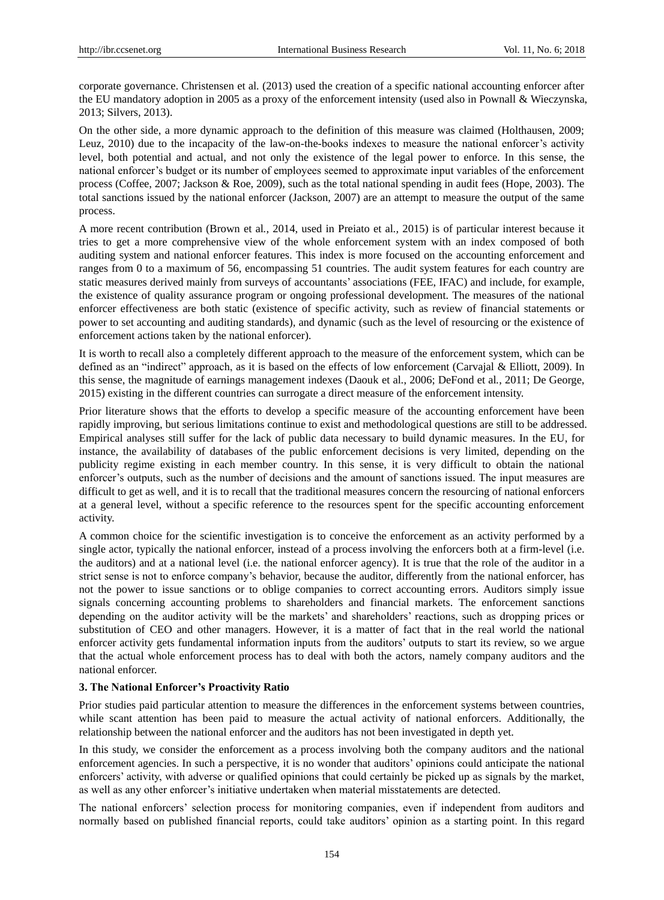corporate governance. Christensen et al*.* (2013) used the creation of a specific national accounting enforcer after the EU mandatory adoption in 2005 as a proxy of the enforcement intensity (used also in Pownall & Wieczynska, 2013; Silvers, 2013).

On the other side, a more dynamic approach to the definition of this measure was claimed (Holthausen, 2009; Leuz, 2010) due to the incapacity of the law-on-the-books indexes to measure the national enforcer's activity level, both potential and actual, and not only the existence of the legal power to enforce. In this sense, the national enforcer's budget or its number of employees seemed to approximate input variables of the enforcement process (Coffee, 2007; Jackson & Roe, 2009), such as the total national spending in audit fees (Hope, 2003). The total sanctions issued by the national enforcer (Jackson, 2007) are an attempt to measure the output of the same process.

A more recent contribution (Brown et al*.*, 2014, used in Preiato et al*.,* 2015) is of particular interest because it tries to get a more comprehensive view of the whole enforcement system with an index composed of both auditing system and national enforcer features. This index is more focused on the accounting enforcement and ranges from 0 to a maximum of 56, encompassing 51 countries. The audit system features for each country are static measures derived mainly from surveys of accountants' associations (FEE, IFAC) and include, for example, the existence of quality assurance program or ongoing professional development. The measures of the national enforcer effectiveness are both static (existence of specific activity, such as review of financial statements or power to set accounting and auditing standards), and dynamic (such as the level of resourcing or the existence of enforcement actions taken by the national enforcer).

It is worth to recall also a completely different approach to the measure of the enforcement system, which can be defined as an "indirect" approach, as it is based on the effects of low enforcement (Carvajal & Elliott, 2009). In this sense, the magnitude of earnings management indexes (Daouk et al*.*, 2006; DeFond et al*.*, 2011; De George, 2015) existing in the different countries can surrogate a direct measure of the enforcement intensity.

Prior literature shows that the efforts to develop a specific measure of the accounting enforcement have been rapidly improving, but serious limitations continue to exist and methodological questions are still to be addressed. Empirical analyses still suffer for the lack of public data necessary to build dynamic measures. In the EU, for instance, the availability of databases of the public enforcement decisions is very limited, depending on the publicity regime existing in each member country. In this sense, it is very difficult to obtain the national enforcer's outputs, such as the number of decisions and the amount of sanctions issued. The input measures are difficult to get as well, and it is to recall that the traditional measures concern the resourcing of national enforcers at a general level, without a specific reference to the resources spent for the specific accounting enforcement activity.

A common choice for the scientific investigation is to conceive the enforcement as an activity performed by a single actor, typically the national enforcer, instead of a process involving the enforcers both at a firm-level (i.e. the auditors) and at a national level (i.e. the national enforcer agency). It is true that the role of the auditor in a strict sense is not to enforce company's behavior, because the auditor, differently from the national enforcer, has not the power to issue sanctions or to oblige companies to correct accounting errors. Auditors simply issue signals concerning accounting problems to shareholders and financial markets. The enforcement sanctions depending on the auditor activity will be the markets' and shareholders' reactions, such as dropping prices or substitution of CEO and other managers. However, it is a matter of fact that in the real world the national enforcer activity gets fundamental information inputs from the auditors' outputs to start its review, so we argue that the actual whole enforcement process has to deal with both the actors, namely company auditors and the national enforcer.

#### **3. The National Enforcer's Proactivity Ratio**

Prior studies paid particular attention to measure the differences in the enforcement systems between countries, while scant attention has been paid to measure the actual activity of national enforcers. Additionally, the relationship between the national enforcer and the auditors has not been investigated in depth yet.

In this study, we consider the enforcement as a process involving both the company auditors and the national enforcement agencies. In such a perspective, it is no wonder that auditors' opinions could anticipate the national enforcers' activity, with adverse or qualified opinions that could certainly be picked up as signals by the market, as well as any other enforcer's initiative undertaken when material misstatements are detected.

The national enforcers' selection process for monitoring companies, even if independent from auditors and normally based on published financial reports, could take auditors' opinion as a starting point. In this regard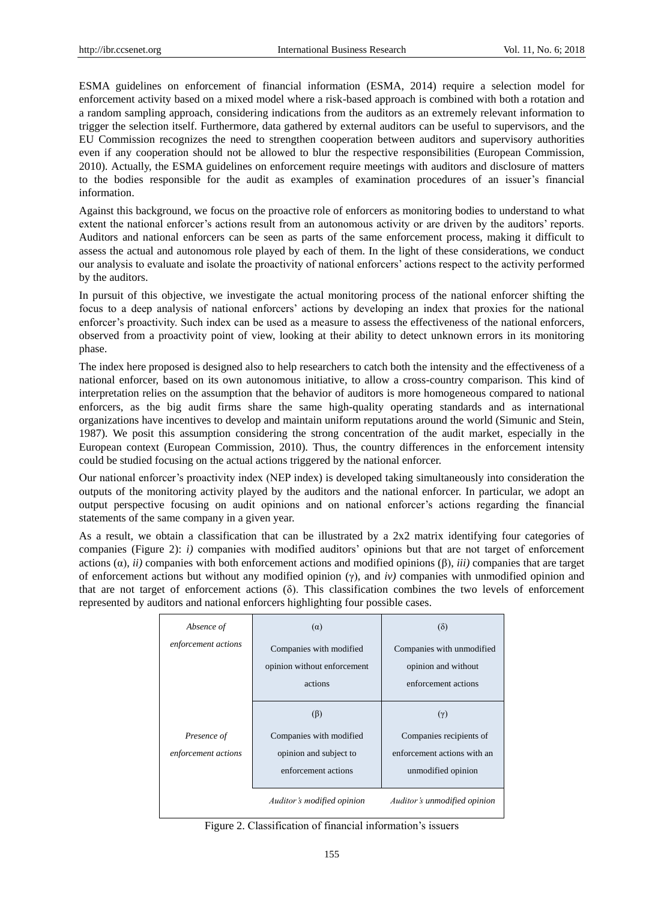ESMA guidelines on enforcement of financial information (ESMA, 2014) require a selection model for enforcement activity based on a mixed model where a risk-based approach is combined with both a rotation and a random sampling approach, considering indications from the auditors as an extremely relevant information to trigger the selection itself. Furthermore, data gathered by external auditors can be useful to supervisors, and the EU Commission recognizes the need to strengthen cooperation between auditors and supervisory authorities even if any cooperation should not be allowed to blur the respective responsibilities (European Commission, 2010). Actually, the ESMA guidelines on enforcement require meetings with auditors and disclosure of matters to the bodies responsible for the audit as examples of examination procedures of an issuer's financial information.

Against this background, we focus on the proactive role of enforcers as monitoring bodies to understand to what extent the national enforcer's actions result from an autonomous activity or are driven by the auditors' reports. Auditors and national enforcers can be seen as parts of the same enforcement process, making it difficult to assess the actual and autonomous role played by each of them. In the light of these considerations, we conduct our analysis to evaluate and isolate the proactivity of national enforcers' actions respect to the activity performed by the auditors.

In pursuit of this objective, we investigate the actual monitoring process of the national enforcer shifting the focus to a deep analysis of national enforcers' actions by developing an index that proxies for the national enforcer's proactivity. Such index can be used as a measure to assess the effectiveness of the national enforcers, observed from a proactivity point of view, looking at their ability to detect unknown errors in its monitoring phase.

The index here proposed is designed also to help researchers to catch both the intensity and the effectiveness of a national enforcer, based on its own autonomous initiative, to allow a cross-country comparison. This kind of interpretation relies on the assumption that the behavior of auditors is more homogeneous compared to national enforcers, as the big audit firms share the same high-quality operating standards and as international organizations have incentives to develop and maintain uniform reputations around the world (Simunic and Stein, 1987). We posit this assumption considering the strong concentration of the audit market, especially in the European context (European Commission, 2010). Thus, the country differences in the enforcement intensity could be studied focusing on the actual actions triggered by the national enforcer.

Our national enforcer's proactivity index (NEP index) is developed taking simultaneously into consideration the outputs of the monitoring activity played by the auditors and the national enforcer. In particular, we adopt an output perspective focusing on audit opinions and on national enforcer's actions regarding the financial statements of the same company in a given year.

As a result, we obtain a classification that can be illustrated by a 2x2 matrix identifying four categories of companies (Figure 2): *i)* companies with modified auditors' opinions but that are not target of enforcement actions (α), *ii)* companies with both enforcement actions and modified opinions (β), *iii)* companies that are target of enforcement actions but without any modified opinion (γ), and *iv)* companies with unmodified opinion and that are not target of enforcement actions (δ). This classification combines the two levels of enforcement represented by auditors and national enforcers highlighting four possible cases.

| Absence of                         | $(\alpha)$                                                                            | $(\delta)$                                                                                 |  |
|------------------------------------|---------------------------------------------------------------------------------------|--------------------------------------------------------------------------------------------|--|
| enforcement actions                | Companies with modified<br>opinion without enforcement<br>actions                     | Companies with unmodified<br>opinion and without<br>enforcement actions                    |  |
| Presence of<br>enforcement actions | $(\beta)$<br>Companies with modified<br>opinion and subject to<br>enforcement actions | $(\gamma)$<br>Companies recipients of<br>enforcement actions with an<br>unmodified opinion |  |
|                                    | Auditor's modified opinion                                                            | Auditor's unmodified opinion                                                               |  |

Figure 2. Classification of financial information's issuers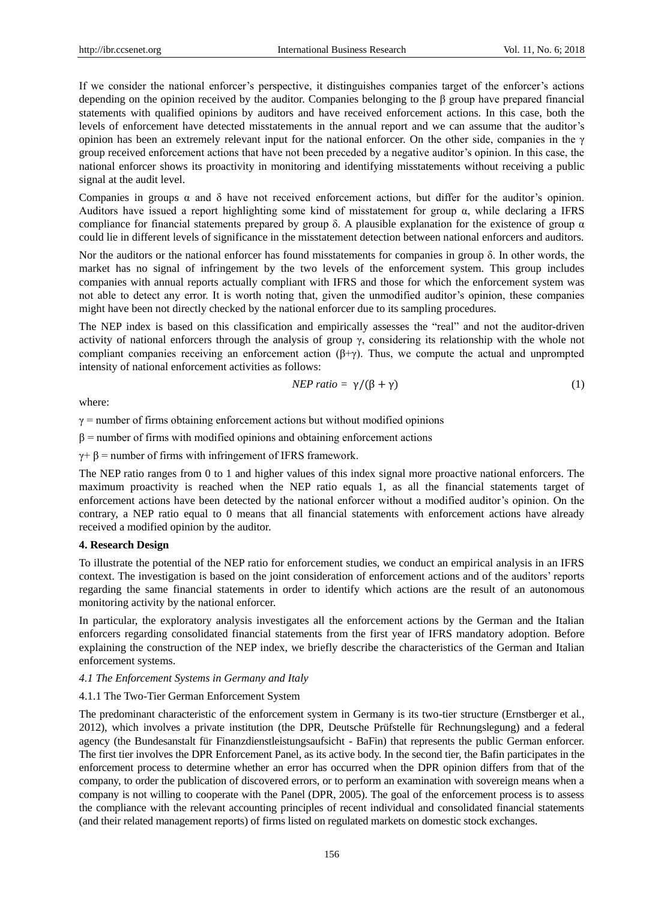If we consider the national enforcer's perspective, it distinguishes companies target of the enforcer's actions depending on the opinion received by the auditor. Companies belonging to the β group have prepared financial statements with qualified opinions by auditors and have received enforcement actions. In this case, both the levels of enforcement have detected misstatements in the annual report and we can assume that the auditor's opinion has been an extremely relevant input for the national enforcer. On the other side, companies in the  $\gamma$ group received enforcement actions that have not been preceded by a negative auditor's opinion. In this case, the national enforcer shows its proactivity in monitoring and identifying misstatements without receiving a public signal at the audit level.

Companies in groups  $\alpha$  and  $\delta$  have not received enforcement actions, but differ for the auditor's opinion. Auditors have issued a report highlighting some kind of misstatement for group  $\alpha$ , while declaring a IFRS compliance for financial statements prepared by group  $\delta$ . A plausible explanation for the existence of group  $\alpha$ could lie in different levels of significance in the misstatement detection between national enforcers and auditors.

Nor the auditors or the national enforcer has found misstatements for companies in group  $\delta$ . In other words, the market has no signal of infringement by the two levels of the enforcement system. This group includes companies with annual reports actually compliant with IFRS and those for which the enforcement system was not able to detect any error. It is worth noting that, given the unmodified auditor's opinion, these companies might have been not directly checked by the national enforcer due to its sampling procedures.

The NEP index is based on this classification and empirically assesses the "real" and not the auditor-driven activity of national enforcers through the analysis of group  $\gamma$ , considering its relationship with the whole not compliant companies receiving an enforcement action  $(\beta+\gamma)$ . Thus, we compute the actual and unprompted intensity of national enforcement activities as follows:

$$
NEP \; ratio = \gamma / (\beta + \gamma) \tag{1}
$$

where:

 $\gamma$  = number of firms obtaining enforcement actions but without modified opinions

 $\beta$  = number of firms with modified opinions and obtaining enforcement actions

 $\gamma$ +  $\beta$  = number of firms with infringement of IFRS framework.

The NEP ratio ranges from 0 to 1 and higher values of this index signal more proactive national enforcers. The maximum proactivity is reached when the NEP ratio equals 1, as all the financial statements target of enforcement actions have been detected by the national enforcer without a modified auditor's opinion. On the contrary, a NEP ratio equal to 0 means that all financial statements with enforcement actions have already received a modified opinion by the auditor.

## **4. Research Design**

To illustrate the potential of the NEP ratio for enforcement studies, we conduct an empirical analysis in an IFRS context. The investigation is based on the joint consideration of enforcement actions and of the auditors' reports regarding the same financial statements in order to identify which actions are the result of an autonomous monitoring activity by the national enforcer.

In particular, the exploratory analysis investigates all the enforcement actions by the German and the Italian enforcers regarding consolidated financial statements from the first year of IFRS mandatory adoption. Before explaining the construction of the NEP index, we briefly describe the characteristics of the German and Italian enforcement systems.

#### *4.1 The Enforcement Systems in Germany and Italy*

## 4.1.1 The Two-Tier German Enforcement System

The predominant characteristic of the enforcement system in Germany is its two-tier structure (Ernstberger et al*.*, 2012), which involves a private institution (the DPR, Deutsche Prüfstelle für Rechnungslegung) and a federal agency (the Bundesanstalt für Finanzdienstleistungsaufsicht - BaFin) that represents the public German enforcer. The first tier involves the DPR Enforcement Panel, as its active body. In the second tier, the Bafin participates in the enforcement process to determine whether an error has occurred when the DPR opinion differs from that of the company, to order the publication of discovered errors, or to perform an examination with sovereign means when a company is not willing to cooperate with the Panel (DPR, 2005). The goal of the enforcement process is to assess the compliance with the relevant accounting principles of recent individual and consolidated financial statements (and their related management reports) of firms listed on regulated markets on domestic stock exchanges.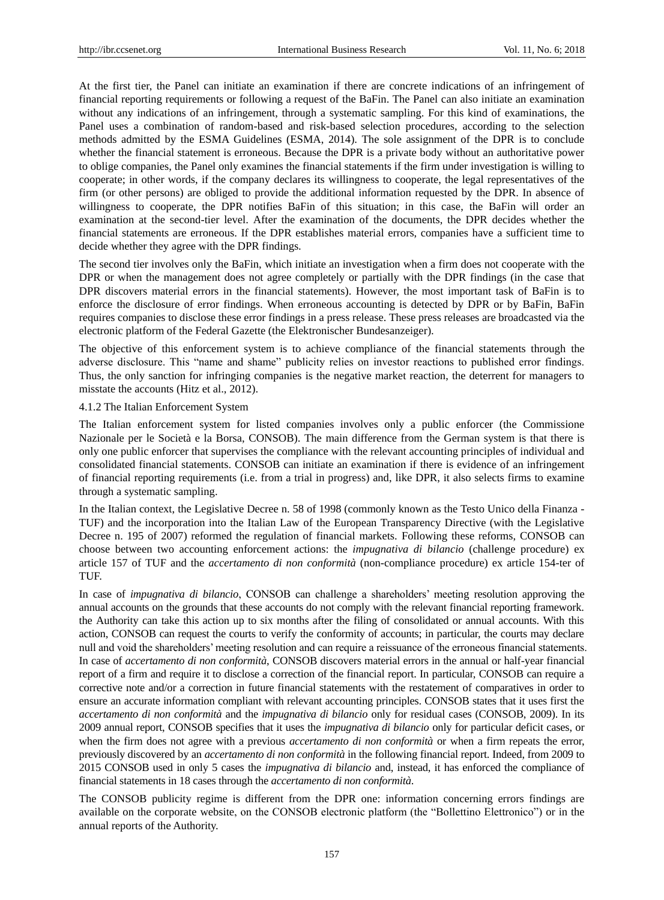At the first tier, the Panel can initiate an examination if there are concrete indications of an infringement of financial reporting requirements or following a request of the BaFin. The Panel can also initiate an examination without any indications of an infringement, through a systematic sampling. For this kind of examinations, the Panel uses a combination of random-based and risk-based selection procedures, according to the selection methods admitted by the ESMA Guidelines (ESMA, 2014). The sole assignment of the DPR is to conclude whether the financial statement is erroneous. Because the DPR is a private body without an authoritative power to oblige companies, the Panel only examines the financial statements if the firm under investigation is willing to cooperate; in other words, if the company declares its willingness to cooperate, the legal representatives of the firm (or other persons) are obliged to provide the additional information requested by the DPR. In absence of willingness to cooperate, the DPR notifies BaFin of this situation; in this case, the BaFin will order an examination at the second-tier level. After the examination of the documents, the DPR decides whether the financial statements are erroneous. If the DPR establishes material errors, companies have a sufficient time to decide whether they agree with the DPR findings.

The second tier involves only the BaFin, which initiate an investigation when a firm does not cooperate with the DPR or when the management does not agree completely or partially with the DPR findings (in the case that DPR discovers material errors in the financial statements). However, the most important task of BaFin is to enforce the disclosure of error findings. When erroneous accounting is detected by DPR or by BaFin, BaFin requires companies to disclose these error findings in a press release. These press releases are broadcasted via the electronic platform of the Federal Gazette (the Elektronischer Bundesanzeiger).

The objective of this enforcement system is to achieve compliance of the financial statements through the adverse disclosure. This "name and shame" publicity relies on investor reactions to published error findings. Thus, the only sanction for infringing companies is the negative market reaction, the deterrent for managers to misstate the accounts (Hitz et al., 2012).

#### 4.1.2 The Italian Enforcement System

The Italian enforcement system for listed companies involves only a public enforcer (the Commissione Nazionale per le Società e la Borsa, CONSOB). The main difference from the German system is that there is only one public enforcer that supervises the compliance with the relevant accounting principles of individual and consolidated financial statements. CONSOB can initiate an examination if there is evidence of an infringement of financial reporting requirements (i.e. from a trial in progress) and, like DPR, it also selects firms to examine through a systematic sampling.

In the Italian context, the Legislative Decree n. 58 of 1998 (commonly known as the Testo Unico della Finanza - TUF) and the incorporation into the Italian Law of the European Transparency Directive (with the Legislative Decree n. 195 of 2007) reformed the regulation of financial markets. Following these reforms, CONSOB can choose between two accounting enforcement actions: the *impugnativa di bilancio* (challenge procedure) ex article 157 of TUF and the *accertamento di non conformità*(non-compliance procedure) ex article 154-ter of TUF.

In case of *impugnativa di bilancio*, CONSOB can challenge a shareholders' meeting resolution approving the annual accounts on the grounds that these accounts do not comply with the relevant financial reporting framework. the Authority can take this action up to six months after the filing of consolidated or annual accounts. With this action, CONSOB can request the courts to verify the conformity of accounts; in particular, the courts may declare null and void the shareholders' meeting resolution and can require a reissuance of the erroneous financial statements. In case of *accertamento di non conformità*, CONSOB discovers material errors in the annual or half-year financial report of a firm and require it to disclose a correction of the financial report. In particular, CONSOB can require a corrective note and/or a correction in future financial statements with the restatement of comparatives in order to ensure an accurate information compliant with relevant accounting principles. CONSOB states that it uses first the *accertamento di non conformità*and the *impugnativa di bilancio* only for residual cases (CONSOB, 2009). In its 2009 annual report, CONSOB specifies that it uses the *impugnativa di bilancio* only for particular deficit cases, or when the firm does not agree with a previous *accertamento di non conformità* or when a firm repeats the error, previously discovered by an *accertamento di non conformità*in the following financial report. Indeed, from 2009 to 2015 CONSOB used in only 5 cases the *impugnativa di bilancio* and, instead, it has enforced the compliance of financial statements in 18 cases through the *accertamento di non conformità*.

The CONSOB publicity regime is different from the DPR one: information concerning errors findings are available on the corporate website, on the CONSOB electronic platform (the "Bollettino Elettronico") or in the annual reports of the Authority.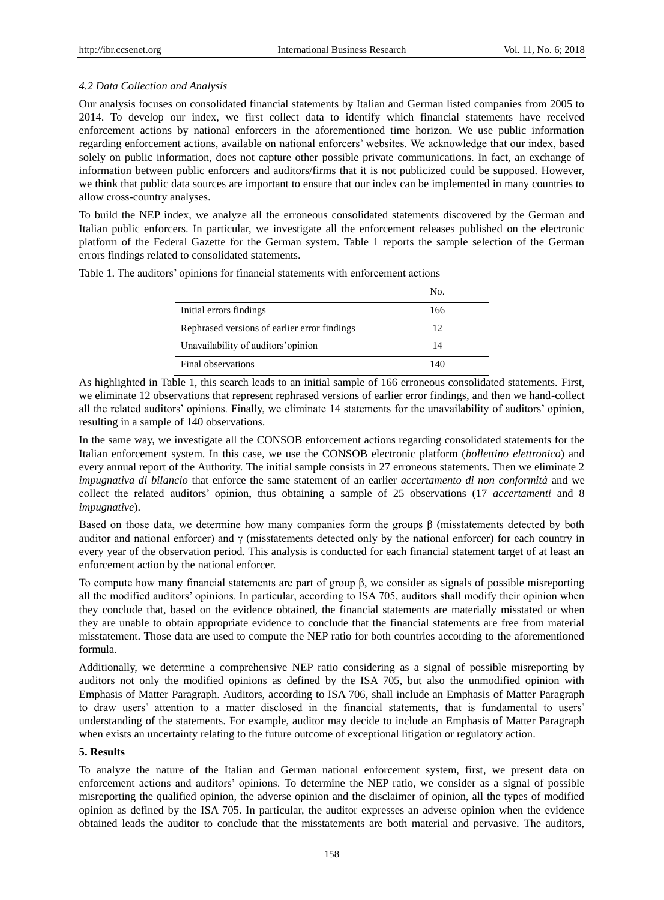# *4.2 Data Collection and Analysis*

Our analysis focuses on consolidated financial statements by Italian and German listed companies from 2005 to 2014. To develop our index, we first collect data to identify which financial statements have received enforcement actions by national enforcers in the aforementioned time horizon. We use public information regarding enforcement actions, available on national enforcers' websites. We acknowledge that our index, based solely on public information, does not capture other possible private communications. In fact, an exchange of information between public enforcers and auditors/firms that it is not publicized could be supposed. However, we think that public data sources are important to ensure that our index can be implemented in many countries to allow cross-country analyses.

To build the NEP index, we analyze all the erroneous consolidated statements discovered by the German and Italian public enforcers. In particular, we investigate all the enforcement releases published on the electronic platform of the Federal Gazette for the German system. Table 1 reports the sample selection of the German errors findings related to consolidated statements.

| Table 1. The auditors' opinions for financial statements with enforcement actions |  |
|-----------------------------------------------------------------------------------|--|
|-----------------------------------------------------------------------------------|--|

|                                              | No. |
|----------------------------------------------|-----|
| Initial errors findings                      | 166 |
| Rephrased versions of earlier error findings | 12  |
| Unavailability of auditors' opinion          | 14  |
| Final observations                           | 140 |

As highlighted in Table 1, this search leads to an initial sample of 166 erroneous consolidated statements. First, we eliminate 12 observations that represent rephrased versions of earlier error findings, and then we hand-collect all the related auditors' opinions. Finally, we eliminate 14 statements for the unavailability of auditors' opinion, resulting in a sample of 140 observations.

In the same way, we investigate all the CONSOB enforcement actions regarding consolidated statements for the Italian enforcement system. In this case, we use the CONSOB electronic platform (*bollettino elettronico*) and every annual report of the Authority. The initial sample consists in 27 erroneous statements. Then we eliminate 2 *impugnativa di bilancio* that enforce the same statement of an earlier *accertamento di non conformità*and we collect the related auditors' opinion, thus obtaining a sample of 25 observations (17 *accertamenti* and 8 *impugnative*).

Based on those data, we determine how many companies form the groups  $\beta$  (misstatements detected by both auditor and national enforcer) and  $\gamma$  (misstatements detected only by the national enforcer) for each country in every year of the observation period. This analysis is conducted for each financial statement target of at least an enforcement action by the national enforcer.

To compute how many financial statements are part of group β, we consider as signals of possible misreporting all the modified auditors' opinions. In particular, according to ISA 705, auditors shall modify their opinion when they conclude that, based on the evidence obtained, the financial statements are materially misstated or when they are unable to obtain appropriate evidence to conclude that the financial statements are free from material misstatement. Those data are used to compute the NEP ratio for both countries according to the aforementioned formula.

Additionally, we determine a comprehensive NEP ratio considering as a signal of possible misreporting by auditors not only the modified opinions as defined by the ISA 705, but also the unmodified opinion with Emphasis of Matter Paragraph. Auditors, according to ISA 706, shall include an Emphasis of Matter Paragraph to draw users' attention to a matter disclosed in the financial statements, that is fundamental to users' understanding of the statements. For example, auditor may decide to include an Emphasis of Matter Paragraph when exists an uncertainty relating to the future outcome of exceptional litigation or regulatory action.

# **5. Results**

To analyze the nature of the Italian and German national enforcement system, first, we present data on enforcement actions and auditors' opinions. To determine the NEP ratio, we consider as a signal of possible misreporting the qualified opinion, the adverse opinion and the disclaimer of opinion, all the types of modified opinion as defined by the ISA 705. In particular, the auditor expresses an adverse opinion when the evidence obtained leads the auditor to conclude that the misstatements are both material and pervasive. The auditors,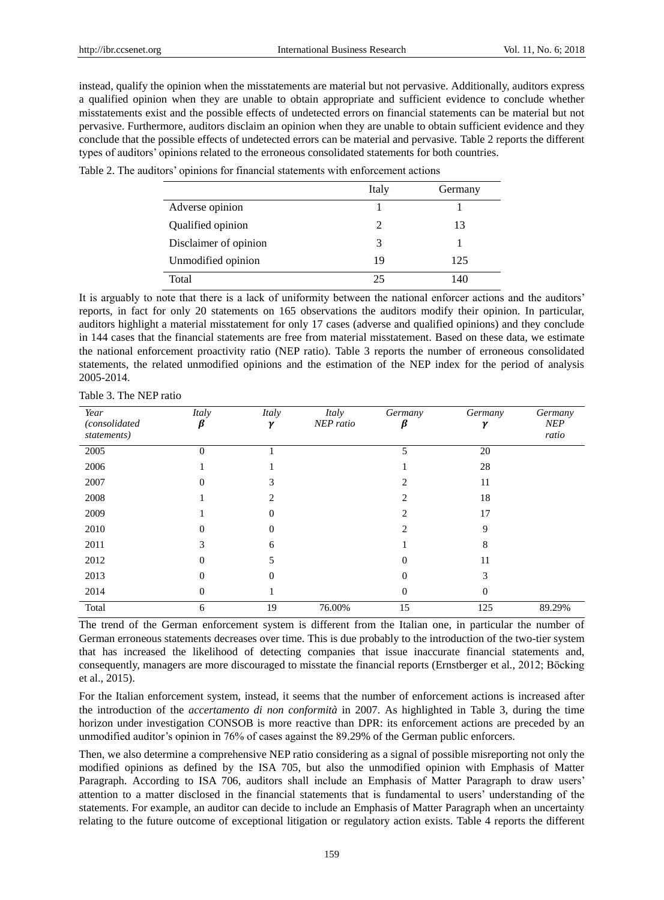instead, qualify the opinion when the misstatements are material but not pervasive. Additionally, auditors express a qualified opinion when they are unable to obtain appropriate and sufficient evidence to conclude whether misstatements exist and the possible effects of undetected errors on financial statements can be material but not pervasive. Furthermore, auditors disclaim an opinion when they are unable to obtain sufficient evidence and they conclude that the possible effects of undetected errors can be material and pervasive. Table 2 reports the different types of auditors' opinions related to the erroneous consolidated statements for both countries.

| Table 2. The auditors' opinions for financial statements with enforcement actions |  |
|-----------------------------------------------------------------------------------|--|
|-----------------------------------------------------------------------------------|--|

|                       | Italy | Germany |
|-----------------------|-------|---------|
| Adverse opinion       |       |         |
| Qualified opinion     | 2     | 13      |
| Disclaimer of opinion | 3     |         |
| Unmodified opinion    | 19    | 125     |
| Total                 | 25    | 140     |

It is arguably to note that there is a lack of uniformity between the national enforcer actions and the auditors' reports, in fact for only 20 statements on 165 observations the auditors modify their opinion. In particular, auditors highlight a material misstatement for only 17 cases (adverse and qualified opinions) and they conclude in 144 cases that the financial statements are free from material misstatement. Based on these data, we estimate the national enforcement proactivity ratio (NEP ratio). Table 3 reports the number of erroneous consolidated statements, the related unmodified opinions and the estimation of the NEP index for the period of analysis 2005-2014.

| Table 3. The NEP ratio |  |  |
|------------------------|--|--|
|                        |  |  |

| Year<br>(consolidated<br>statements) | Italy<br>ß | Italy<br>γ | Italy<br>NEP ratio | Germany | Germany | Germany<br><b>NEP</b><br>ratio |
|--------------------------------------|------------|------------|--------------------|---------|---------|--------------------------------|
| 2005                                 | $\theta$   |            |                    | 5       | 20      |                                |
| 2006                                 |            |            |                    |         | 28      |                                |
| 2007                                 |            |            |                    |         | 11      |                                |
| 2008                                 |            |            |                    |         | 18      |                                |
| 2009                                 |            | 0          |                    |         | 17      |                                |
| 2010                                 |            | 0          |                    |         | 9       |                                |
| 2011                                 |            | 6          |                    |         | 8       |                                |
| 2012                                 |            |            |                    |         | 11      |                                |
| 2013                                 |            | 0          |                    |         | 3       |                                |
| 2014                                 | 0          |            |                    | 0       | 0       |                                |
| Total                                | 6          | 19         | 76.00%             | 15      | 125     | 89.29%                         |

The trend of the German enforcement system is different from the Italian one, in particular the number of German erroneous statements decreases over time. This is due probably to the introduction of the two-tier system that has increased the likelihood of detecting companies that issue inaccurate financial statements and, consequently, managers are more discouraged to misstate the financial reports (Ernstberger et al*.,* 2012; Bӧcking et al., 2015).

For the Italian enforcement system, instead, it seems that the number of enforcement actions is increased after the introduction of the *accertamento di non conformità*in 2007. As highlighted in Table 3, during the time horizon under investigation CONSOB is more reactive than DPR: its enforcement actions are preceded by an unmodified auditor's opinion in 76% of cases against the 89.29% of the German public enforcers.

Then, we also determine a comprehensive NEP ratio considering as a signal of possible misreporting not only the modified opinions as defined by the ISA 705, but also the unmodified opinion with Emphasis of Matter Paragraph. According to ISA 706, auditors shall include an Emphasis of Matter Paragraph to draw users' attention to a matter disclosed in the financial statements that is fundamental to users' understanding of the statements. For example, an auditor can decide to include an Emphasis of Matter Paragraph when an uncertainty relating to the future outcome of exceptional litigation or regulatory action exists. Table 4 reports the different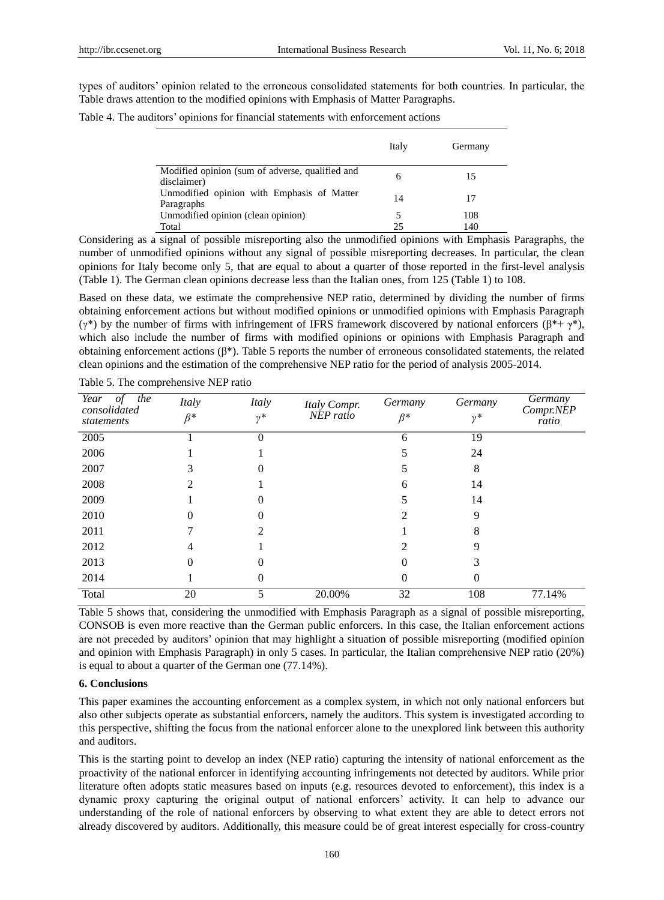types of auditors' opinion related to the erroneous consolidated statements for both countries. In particular, the Table draws attention to the modified opinions with Emphasis of Matter Paragraphs.

Table 4. The auditors' opinions for financial statements with enforcement actions

|                                                                | Italy | Germany |
|----------------------------------------------------------------|-------|---------|
| Modified opinion (sum of adverse, qualified and<br>disclaimer) | 6     | 15      |
| Unmodified opinion with Emphasis of Matter<br>Paragraphs       | 14    | 17      |
| Unmodified opinion (clean opinion)                             | 5     | 108     |
| Total                                                          | 25    | 140     |

Considering as a signal of possible misreporting also the unmodified opinions with Emphasis Paragraphs, the number of unmodified opinions without any signal of possible misreporting decreases. In particular, the clean opinions for Italy become only 5, that are equal to about a quarter of those reported in the first-level analysis (Table 1). The German clean opinions decrease less than the Italian ones, from 125 (Table 1) to 108.

Based on these data, we estimate the comprehensive NEP ratio, determined by dividing the number of firms obtaining enforcement actions but without modified opinions or unmodified opinions with Emphasis Paragraph (γ\*) by the number of firms with infringement of IFRS framework discovered by national enforcers (β\*+ γ\*), which also include the number of firms with modified opinions or opinions with Emphasis Paragraph and obtaining enforcement actions (β\*). Table 5 reports the number of erroneous consolidated statements, the related clean opinions and the estimation of the comprehensive NEP ratio for the period of analysis 2005-2014.

| of<br>Year<br>the<br>consolidated<br>statements | Italy<br>$\beta^*$ | Italy<br>$\n  v$ | Italy Compr.<br>NEP ratio | Germany<br>$\beta^*$ | Germany<br>$\nu^*$ | Germany<br>Compr.NEP<br>ratio |
|-------------------------------------------------|--------------------|------------------|---------------------------|----------------------|--------------------|-------------------------------|
| 2005                                            |                    | 0                |                           | 6                    | 19                 |                               |
| 2006                                            |                    |                  |                           |                      | 24                 |                               |
| 2007                                            |                    |                  |                           |                      | 8                  |                               |
| 2008                                            |                    |                  |                           | h                    | 14                 |                               |
| 2009                                            |                    |                  |                           |                      | 14                 |                               |
| 2010                                            |                    |                  |                           |                      | 9                  |                               |
| 2011                                            |                    |                  |                           |                      | 8                  |                               |
| 2012                                            |                    |                  |                           |                      |                    |                               |
| 2013                                            |                    |                  |                           |                      |                    |                               |
| 2014                                            |                    |                  |                           | 0                    |                    |                               |
| Total                                           | 20                 | 5                | 20.00%                    | $\overline{32}$      | 108                | 77.14%                        |

Table 5. The comprehensive NEP ratio

Table 5 shows that, considering the unmodified with Emphasis Paragraph as a signal of possible misreporting, CONSOB is even more reactive than the German public enforcers. In this case, the Italian enforcement actions are not preceded by auditors' opinion that may highlight a situation of possible misreporting (modified opinion and opinion with Emphasis Paragraph) in only 5 cases. In particular, the Italian comprehensive NEP ratio (20%) is equal to about a quarter of the German one (77.14%).

## **6. Conclusions**

This paper examines the accounting enforcement as a complex system, in which not only national enforcers but also other subjects operate as substantial enforcers, namely the auditors. This system is investigated according to this perspective, shifting the focus from the national enforcer alone to the unexplored link between this authority and auditors.

This is the starting point to develop an index (NEP ratio) capturing the intensity of national enforcement as the proactivity of the national enforcer in identifying accounting infringements not detected by auditors. While prior literature often adopts static measures based on inputs (e.g. resources devoted to enforcement), this index is a dynamic proxy capturing the original output of national enforcers' activity. It can help to advance our understanding of the role of national enforcers by observing to what extent they are able to detect errors not already discovered by auditors. Additionally, this measure could be of great interest especially for cross-country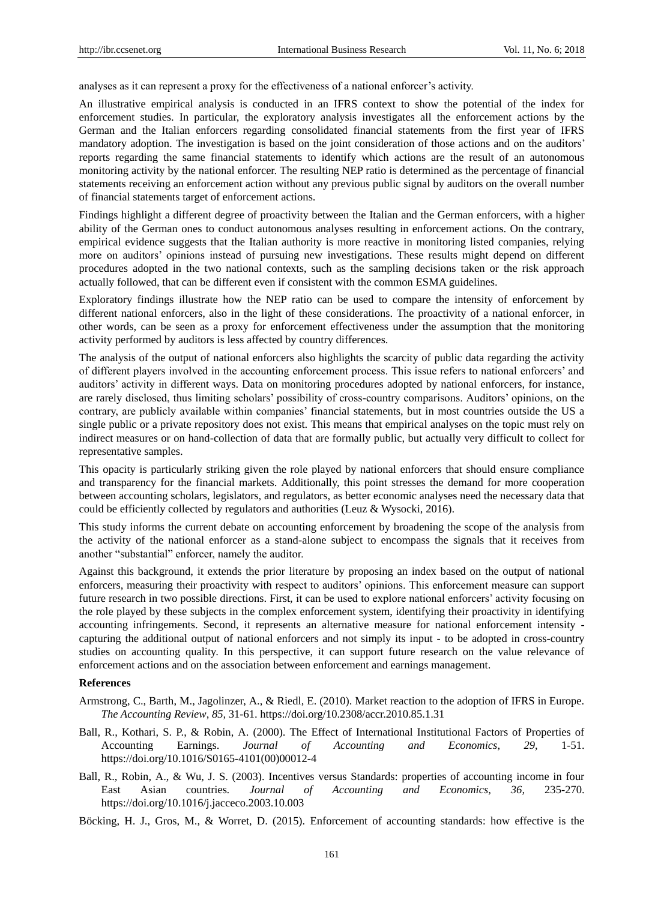analyses as it can represent a proxy for the effectiveness of a national enforcer's activity.

An illustrative empirical analysis is conducted in an IFRS context to show the potential of the index for enforcement studies. In particular, the exploratory analysis investigates all the enforcement actions by the German and the Italian enforcers regarding consolidated financial statements from the first year of IFRS mandatory adoption. The investigation is based on the joint consideration of those actions and on the auditors' reports regarding the same financial statements to identify which actions are the result of an autonomous monitoring activity by the national enforcer. The resulting NEP ratio is determined as the percentage of financial statements receiving an enforcement action without any previous public signal by auditors on the overall number of financial statements target of enforcement actions.

Findings highlight a different degree of proactivity between the Italian and the German enforcers, with a higher ability of the German ones to conduct autonomous analyses resulting in enforcement actions. On the contrary, empirical evidence suggests that the Italian authority is more reactive in monitoring listed companies, relying more on auditors' opinions instead of pursuing new investigations. These results might depend on different procedures adopted in the two national contexts, such as the sampling decisions taken or the risk approach actually followed, that can be different even if consistent with the common ESMA guidelines.

Exploratory findings illustrate how the NEP ratio can be used to compare the intensity of enforcement by different national enforcers, also in the light of these considerations. The proactivity of a national enforcer, in other words, can be seen as a proxy for enforcement effectiveness under the assumption that the monitoring activity performed by auditors is less affected by country differences.

The analysis of the output of national enforcers also highlights the scarcity of public data regarding the activity of different players involved in the accounting enforcement process. This issue refers to national enforcers' and auditors' activity in different ways. Data on monitoring procedures adopted by national enforcers, for instance, are rarely disclosed, thus limiting scholars' possibility of cross-country comparisons. Auditors' opinions, on the contrary, are publicly available within companies' financial statements, but in most countries outside the US a single public or a private repository does not exist. This means that empirical analyses on the topic must rely on indirect measures or on hand-collection of data that are formally public, but actually very difficult to collect for representative samples.

This opacity is particularly striking given the role played by national enforcers that should ensure compliance and transparency for the financial markets. Additionally, this point stresses the demand for more cooperation between accounting scholars, legislators, and regulators, as better economic analyses need the necessary data that could be efficiently collected by regulators and authorities (Leuz & Wysocki, 2016).

This study informs the current debate on accounting enforcement by broadening the scope of the analysis from the activity of the national enforcer as a stand-alone subject to encompass the signals that it receives from another "substantial" enforcer, namely the auditor.

Against this background, it extends the prior literature by proposing an index based on the output of national enforcers, measuring their proactivity with respect to auditors' opinions. This enforcement measure can support future research in two possible directions. First, it can be used to explore national enforcers' activity focusing on the role played by these subjects in the complex enforcement system, identifying their proactivity in identifying accounting infringements. Second, it represents an alternative measure for national enforcement intensity capturing the additional output of national enforcers and not simply its input - to be adopted in cross-country studies on accounting quality. In this perspective, it can support future research on the value relevance of enforcement actions and on the association between enforcement and earnings management.

#### **References**

- Armstrong, C., Barth, M., Jagolinzer, A., & Riedl, E. (2010). Market reaction to the adoption of IFRS in Europe. *The Accounting Review*, *85,* 31-61. https://doi.org/10.2308/accr.2010.85.1.31
- Ball, R., Kothari, S. P., & Robin, A. (2000). The Effect of International Institutional Factors of Properties of Accounting Earnings. *Journal of Accounting and Economics*, *29,* 1-51. https://doi.org/10.1016/S0165-4101(00)00012-4
- Ball, R., Robin, A., & Wu, J. S. (2003). Incentives versus Standards: properties of accounting income in four East Asian countries*. Journal of Accounting and Economics, 36,* 235-270. https://doi.org/10.1016/j.jacceco.2003.10.003
- Böcking, H. J., Gros, M., & Worret, D. (2015). Enforcement of accounting standards: how effective is the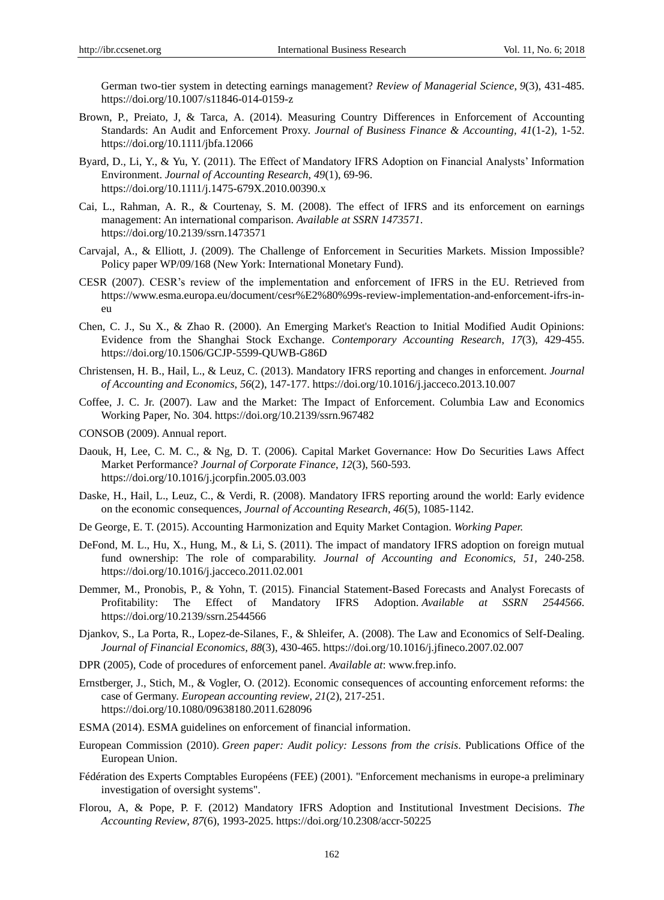German two-tier system in detecting earnings management? *Review of Managerial Science*, *9*(3), 431-485. https://doi.org/10.1007/s11846-014-0159-z

- Brown, P., Preiato, J, & Tarca, A. (2014). Measuring Country Differences in Enforcement of Accounting Standards: An Audit and Enforcement Proxy. *Journal of Business Finance & Accounting, 41*(1-2), 1-52. https://doi.org/10.1111/jbfa.12066
- Byard, D., Li, Y., & Yu, Y. (2011). The Effect of Mandatory IFRS Adoption on Financial Analysts' Information Environment. *Journal of Accounting Research*, *49*(1), 69-96. https://doi.org/10.1111/j.1475-679X.2010.00390.x
- Cai, L., Rahman, A. R., & Courtenay, S. M. (2008). The effect of IFRS and its enforcement on earnings management: An international comparison. *Available at SSRN 1473571*. https://doi.org/10.2139/ssrn.1473571
- Carvajal, A., & Elliott, J. (2009). The Challenge of Enforcement in Securities Markets. Mission Impossible? Policy paper WP/09/168 (New York: International Monetary Fund).
- CESR (2007). CESR's review of the implementation and enforcement of IFRS in the EU. Retrieved from https://www.esma.europa.eu/document/cesr%E2%80%99s-review-implementation-and-enforcement-ifrs-ineu
- Chen, C. J., Su X., & Zhao R. (2000). An Emerging Market's Reaction to Initial Modified Audit Opinions: Evidence from the Shanghai Stock Exchange. *Contemporary Accounting Research*, *17*(3), 429-455. https://doi.org/10.1506/GCJP-5599-QUWB-G86D
- Christensen, H. B., Hail, L., & Leuz, C. (2013). Mandatory IFRS reporting and changes in enforcement. *Journal of Accounting and Economics*, *56*(2), 147-177. https://doi.org/10.1016/j.jacceco.2013.10.007
- Coffee, J. C. Jr. (2007). Law and the Market: The Impact of Enforcement. Columbia Law and Economics Working Paper, No. 304. https://doi.org/10.2139/ssrn.967482
- CONSOB (2009). Annual report.
- Daouk, H, Lee, C. M. C., & Ng, D. T. (2006). Capital Market Governance: How Do Securities Laws Affect Market Performance? *Journal of Corporate Finance*, *12*(3), 560-593. https://doi.org/10.1016/j.jcorpfin.2005.03.003
- Daske, H., Hail, L., Leuz, C., & Verdi, R. (2008). Mandatory IFRS reporting around the world: Early evidence on the economic consequences, *Journal of Accounting Research*, *46*(5), 1085-1142.
- De George, E. T. (2015). Accounting Harmonization and Equity Market Contagion. *Working Paper.*
- DeFond, M. L., Hu, X., Hung, M., & Li, S. (2011). The impact of mandatory IFRS adoption on foreign mutual fund ownership: The role of comparability. *Journal of Accounting and Economics, 51,* 240-258. https://doi.org/10.1016/j.jacceco.2011.02.001
- Demmer, M., Pronobis, P., & Yohn, T. (2015). Financial Statement-Based Forecasts and Analyst Forecasts of Profitability: The Effect of Mandatory IFRS Adoption. *Available at SSRN 2544566*. https://doi.org/10.2139/ssrn.2544566
- Djankov, S., La Porta, R., Lopez-de-Silanes, F., & Shleifer, A. (2008). The Law and Economics of Self-Dealing. *Journal of Financial Economics, 88*(3), 430-465. https://doi.org/10.1016/j.jfineco.2007.02.007
- DPR (2005), Code of procedures of enforcement panel. *Available at*: www.frep.info.
- Ernstberger, J., Stich, M., & Vogler, O. (2012). Economic consequences of accounting enforcement reforms: the case of Germany. *European accounting review*, *21*(2), 217-251. https://doi.org/10.1080/09638180.2011.628096
- ESMA (2014). ESMA guidelines on enforcement of financial information.
- European Commission (2010). *Green paper: Audit policy: Lessons from the crisis*. Publications Office of the European Union.
- Fédération des Experts Comptables Européens (FEE) (2001). "Enforcement mechanisms in europe-a preliminary investigation of oversight systems".
- Florou, A, & Pope, P. F. (2012) Mandatory IFRS Adoption and Institutional Investment Decisions. *The Accounting Review*, *87*(6), 1993-2025. https://doi.org/10.2308/accr-50225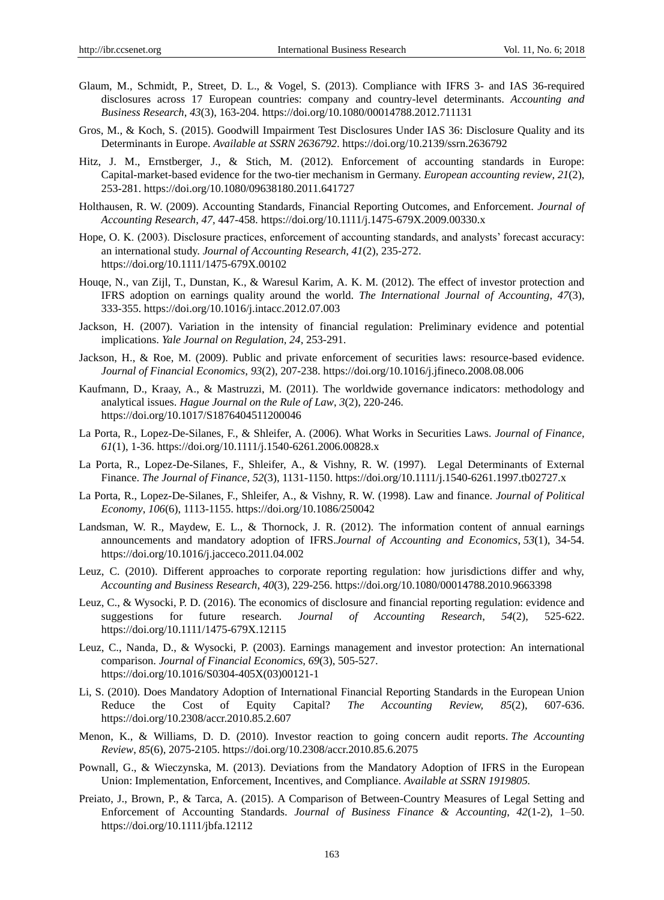- Glaum, M., Schmidt, P., Street, D. L., & Vogel, S. (2013). Compliance with IFRS 3- and IAS 36-required disclosures across 17 European countries: company and country-level determinants. *Accounting and Business Research*, *43*(3), 163-204. https://doi.org/10.1080/00014788.2012.711131
- Gros, M., & Koch, S. (2015). Goodwill Impairment Test Disclosures Under IAS 36: Disclosure Quality and its Determinants in Europe. *Available at SSRN 2636792*. https://doi.org/10.2139/ssrn.2636792
- Hitz, J. M., Ernstberger, J., & Stich, M. (2012). Enforcement of accounting standards in Europe: Capital-market-based evidence for the two-tier mechanism in Germany. *European accounting review*, *21*(2), 253-281. https://doi.org/10.1080/09638180.2011.641727
- Holthausen, R. W. (2009). Accounting Standards, Financial Reporting Outcomes, and Enforcement. *Journal of Accounting Research*, *47,* 447-458. https://doi.org/10.1111/j.1475-679X.2009.00330.x
- Hope, O. K. (2003). Disclosure practices, enforcement of accounting standards, and analysts' forecast accuracy: an international study. *Journal of Accounting Research*, *41*(2), 235-272. https://doi.org/10.1111/1475-679X.00102
- Houqe, N., van Zijl, T., Dunstan, K., & Waresul Karim, A. K. M. (2012). The effect of investor protection and IFRS adoption on earnings quality around the world. *The International Journal of Accounting*, *47*(3), 333-355. https://doi.org/10.1016/j.intacc.2012.07.003
- Jackson, H. (2007). Variation in the intensity of financial regulation: Preliminary evidence and potential implications. *Yale Journal on Regulation, 24*, 253-291.
- Jackson, H., & Roe, M. (2009). Public and private enforcement of securities laws: resource-based evidence. *Journal of Financial Economics*, *93*(2), 207-238. https://doi.org/10.1016/j.jfineco.2008.08.006
- Kaufmann, D., Kraay, A., & Mastruzzi, M. (2011). The worldwide governance indicators: methodology and analytical issues. *Hague Journal on the Rule of Law*, *3*(2), 220-246. https://doi.org/10.1017/S1876404511200046
- La Porta, R., Lopez-De-Silanes, F., & Shleifer, A. (2006). What Works in Securities Laws. *Journal of Finance, 61*(1), 1-36. https://doi.org/10.1111/j.1540-6261.2006.00828.x
- La Porta, R., Lopez-De-Silanes, F., Shleifer, A., & Vishny, R. W. (1997). Legal Determinants of External Finance. *The Journal of Finance*, *52*(3), 1131-1150. https://doi.org/10.1111/j.1540-6261.1997.tb02727.x
- La Porta, R., Lopez-De-Silanes, F., Shleifer, A., & Vishny, R. W. (1998). Law and finance. *Journal of Political Economy*, *106*(6), 1113-1155. https://doi.org/10.1086/250042
- Landsman, W. R., Maydew, E. L., & Thornock, J. R. (2012). The information content of annual earnings announcements and mandatory adoption of IFRS.*Journal of Accounting and Economics*, *53*(1), 34-54. https://doi.org/10.1016/j.jacceco.2011.04.002
- Leuz, C. (2010). Different approaches to corporate reporting regulation: how jurisdictions differ and why, *Accounting and Business Research*, *40*(3), 229-256. https://doi.org/10.1080/00014788.2010.9663398
- Leuz, C., & Wysocki, P. D. (2016). The economics of disclosure and financial reporting regulation: evidence and suggestions for future research. *Journal of Accounting Research*, *54*(2), 525-622. https://doi.org/10.1111/1475-679X.12115
- Leuz, C., Nanda, D., & Wysocki, P. (2003). Earnings management and investor protection: An international comparison. *Journal of Financial Economics, 69*(3), 505-527. https://doi.org/10.1016/S0304-405X(03)00121-1
- Li, S. (2010). Does Mandatory Adoption of International Financial Reporting Standards in the European Union Reduce the Cost of Equity Capital? *The Accounting Review, 85*(2), 607-636. https://doi.org/10.2308/accr.2010.85.2.607
- Menon, K., & Williams, D. D. (2010). Investor reaction to going concern audit reports. *The Accounting Review*, *85*(6), 2075-2105. https://doi.org/10.2308/accr.2010.85.6.2075
- Pownall, G., & Wieczynska, M. (2013). Deviations from the Mandatory Adoption of IFRS in the European Union: Implementation, Enforcement, Incentives, and Compliance. *Available at SSRN 1919805.*
- Preiato, J., Brown, P., & Tarca, A. (2015). A Comparison of Between-Country Measures of Legal Setting and Enforcement of Accounting Standards. *Journal of Business Finance & Accounting*, *42*(1-2), 1–50. https://doi.org/10.1111/jbfa.12112